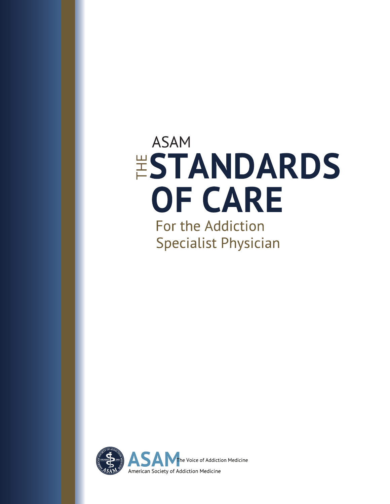# **ASAM ESTANDARDS OF CARE** For the Addiction

**Specialist Physician** 

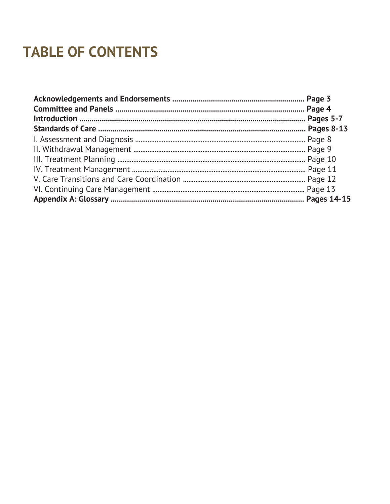# **TABLE OF CONTENTS**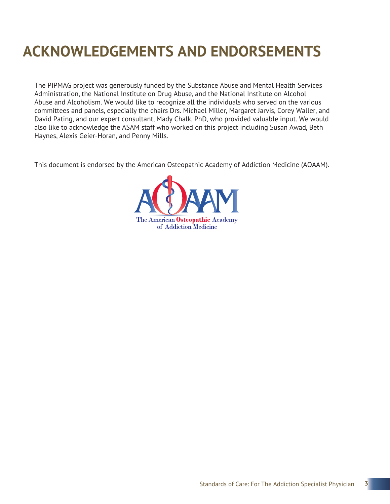# **ACKNOWLEDGEMENTS AND ENDORSEMENTS**

The PIPMAG project was generously funded by the Substance Abuse and Mental Health Services Administration, the National Institute on Drug Abuse, and the National Institute on Alcohol Abuse and Alcoholism. We would like to recognize all the individuals who served on the various committees and panels, especially the chairs Drs. Michael Miller, Margaret Jarvis, Corey Waller, and David Pating, and our expert consultant, Mady Chalk, PhD, who provided valuable input. We would also like to acknowledge the ASAM staff who worked on this project including Susan Awad, Beth Haynes, Alexis Geier-Horan, and Penny Mills.

This document is endorsed by the American Osteopathic Academy of Addiction Medicine (AOAAM).

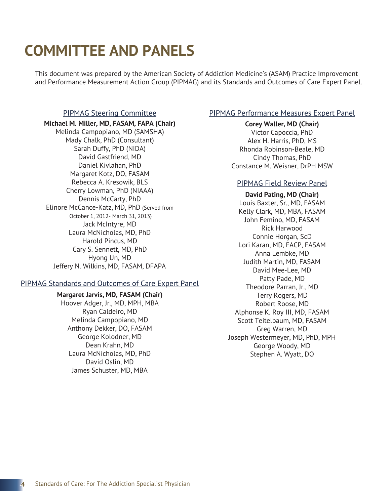# **COMMITTEE AND PANELS**

This document was prepared by the American Society of Addiction Medicine's (ASAM) Practice Improvement and Performance Measurement Action Group (PIPMAG) and its Standards and Outcomes of Care Expert Panel.

#### PIPMAG Steering Committee

#### **Michael M. Miller, MD, FASAM, FAPA (Chair)**

Melinda Campopiano, MD (SAMSHA) Mady Chalk, PhD (Consultant) Sarah Duffy, PhD (NIDA) David Gastfriend, MD Daniel Kivlahan, PhD Margaret Kotz, DO, FASAM Rebecca A. Kresowik, BLS Cherry Lowman, PhD (NIAAA) Dennis McCarty, PhD Elinore McCance-Katz, MD, PhD (Served from October 1, 2012- March 31, 2013) Jack McIntyre, MD Laura McNicholas, MD, PhD Harold Pincus, MD Cary S. Sennett, MD, PhD Hyong Un, MD Jeffery N. Wilkins, MD, FASAM, DFAPA

#### PIPMAG Standards and Outcomes of Care Expert Panel

#### **Margaret Jarvis, MD, FASAM (Chair)**

Hoover Adger, Jr., MD, MPH, MBA Ryan Caldeiro, MD Melinda Campopiano, MD Anthony Dekker, DO, FASAM George Kolodner, MD Dean Krahn, MD Laura McNicholas, MD, PhD David Oslin, MD James Schuster, MD, MBA

#### PIPMAG Performance Measures Expert Panel

#### **Corey Waller, MD (Chair)**

Victor Capoccia, PhD Alex H. Harris, PhD, MS Rhonda Robinson-Beale, MD Cindy Thomas, PhD Constance M. Weisner, DrPH MSW

#### PIPMAG Field Review Panel

**David Pating, MD (Chair)** Louis Baxter, Sr., MD, FASAM Kelly Clark, MD, MBA, FASAM John Femino, MD, FASAM Rick Harwood Connie Horgan, ScD Lori Karan, MD, FACP, FASAM Anna Lembke, MD Judith Martin, MD, FASAM David Mee-Lee, MD Patty Pade, MD Theodore Parran, Jr., MD Terry Rogers, MD Robert Roose, MD Alphonse K. Roy III, MD, FASAM Scott Teitelbaum, MD, FASAM Greg Warren, MD Joseph Westermeyer, MD, PhD, MPH George Woody, MD Stephen A. Wyatt, DO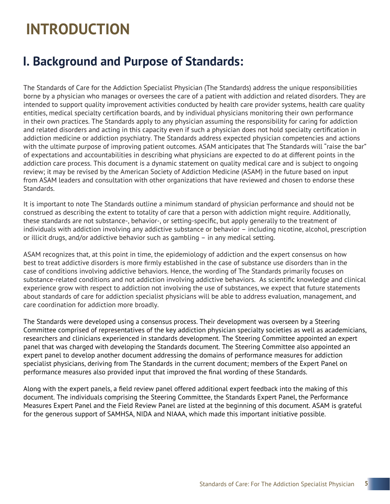# **INTRODUCTION**

### **I. Background and Purpose of Standards:**

The Standards of Care for the Addiction Specialist Physician (The Standards) address the unique responsibilities borne by a physician who manages or oversees the care of a patient with addiction and related disorders. They are intended to support quality improvement activities conducted by health care provider systems, health care quality entities, medical specialty certification boards, and by individual physicians monitoring their own performance in their own practices. The Standards apply to any physician assuming the responsibility for caring for addiction and related disorders and acting in this capacity even if such a physician does not hold specialty certification in addiction medicine or addiction psychiatry. The Standards address expected physician competencies and actions with the ultimate purpose of improving patient outcomes. ASAM anticipates that The Standards will "raise the bar" of expectations and accountabilities in describing what physicians are expected to do at different points in the addiction care process. This document is a dynamic statement on quality medical care and is subject to ongoing review; it may be revised by the American Society of Addiction Medicine (ASAM) in the future based on input from ASAM leaders and consultation with other organizations that have reviewed and chosen to endorse these Standards.

It is important to note The Standards outline a minimum standard of physician performance and should not be construed as describing the extent to totality of care that a person with addiction might require. Additionally, these standards are not substance-, behavior-, or setting-specific, but apply generally to the treatment of individuals with addiction involving any addictive substance or behavior – including nicotine, alcohol, prescription or illicit drugs, and/or addictive behavior such as gambling – in any medical setting.

ASAM recognizes that, at this point in time, the epidemiology of addiction and the expert consensus on how best to treat addictive disorders is more firmly established in the case of substance use disorders than in the case of conditions involving addictive behaviors. Hence, the wording of The Standards primarily focuses on substance-related conditions and not addiction involving addictive behaviors. As scientific knowledge and clinical experience grow with respect to addiction not involving the use of substances, we expect that future statements about standards of care for addiction specialist physicians will be able to address evaluation, management, and care coordination for addiction more broadly.

The Standards were developed using a consensus process. Their development was overseen by a Steering Committee comprised of representatives of the key addiction physician specialty societies as well as academicians, researchers and clinicians experienced in standards development. The Steering Committee appointed an expert panel that was charged with developing the Standards document. The Steering Committee also appointed an expert panel to develop another document addressing the domains of performance measures for addiction specialist physicians, deriving from The Standards in the current document; members of the Expert Panel on performance measures also provided input that improved the final wording of these Standards.

Along with the expert panels, a field review panel offered additional expert feedback into the making of this document. The individuals comprising the Steering Committee, the Standards Expert Panel, the Performance Measures Expert Panel and the Field Review Panel are listed at the beginning of this document. ASAM is grateful for the generous support of SAMHSA, NIDA and NIAAA, which made this important initiative possible.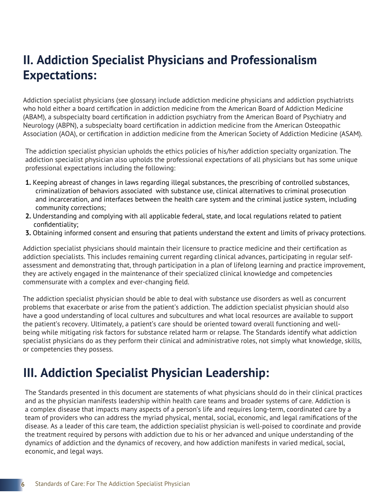### **II. Addiction Specialist Physicians and Professionalism Expectations:**

Addiction specialist physicians (see glossary) include addiction medicine physicians and addiction psychiatrists who hold either a board certification in addiction medicine from the American Board of Addiction Medicine (ABAM), a subspecialty board certification in addiction psychiatry from the American Board of Psychiatry and Neurology (ABPN), a subspecialty board certification in addiction medicine from the American Osteopathic Association (AOA), or certification in addiction medicine from the American Society of Addiction Medicine (ASAM).

The addiction specialist physician upholds the ethics policies of his/her addiction specialty organization. The addiction specialist physician also upholds the professional expectations of all physicians but has some unique professional expectations including the following:

- **1.** Keeping abreast of changes in laws regarding illegal substances, the prescribing of controlled substances, criminalization of behaviors associated with substance use, clinical alternatives to criminal prosecution and incarceration, and interfaces between the health care system and the criminal justice system, including community corrections;
- **2.** Understanding and complying with all applicable federal, state, and local regulations related to patient confidentiality;
- **3.** Obtaining informed consent and ensuring that patients understand the extent and limits of privacy protections.

Addiction specialist physicians should maintain their licensure to practice medicine and their certification as addiction specialists. This includes remaining current regarding clinical advances, participating in regular selfassessment and demonstrating that, through participation in a plan of lifelong learning and practice improvement, they are actively engaged in the maintenance of their specialized clinical knowledge and competencies commensurate with a complex and ever-changing field.

The addiction specialist physician should be able to deal with substance use disorders as well as concurrent problems that exacerbate or arise from the patient's addiction. The addiction specialist physician should also have a good understanding of local cultures and subcultures and what local resources are available to support the patient's recovery. Ultimately, a patient's care should be oriented toward overall functioning and wellbeing while mitigating risk factors for substance related harm or relapse. The Standards identify what addiction specialist physicians do as they perform their clinical and administrative roles, not simply what knowledge, skills, or competencies they possess.

### **III. Addiction Specialist Physician Leadership:**

The Standards presented in this document are statements of what physicians should do in their clinical practices and as the physician manifests leadership within health care teams and broader systems of care. Addiction is a complex disease that impacts many aspects of a person's life and requires long-term, coordinated care by a team of providers who can address the myriad physical, mental, social, economic, and legal ramifications of the disease. As a leader of this care team, the addiction specialist physician is well-poised to coordinate and provide the treatment required by persons with addiction due to his or her advanced and unique understanding of the dynamics of addiction and the dynamics of recovery, and how addiction manifests in varied medical, social, economic, and legal ways.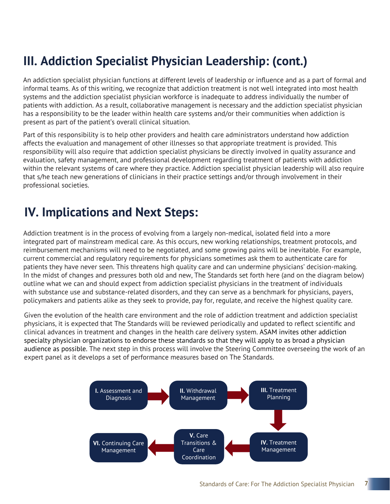### **III. Addiction Specialist Physician Leadership: (cont.)**

An addiction specialist physician functions at different levels of leadership or influence and as a part of formal and informal teams. As of this writing, we recognize that addiction treatment is not well integrated into most health systems and the addiction specialist physician workforce is inadequate to address individually the number of patients with addiction. As a result, collaborative management is necessary and the addiction specialist physician has a responsibility to be the leader within health care systems and/or their communities when addiction is present as part of the patient's overall clinical situation.

Part of this responsibility is to help other providers and health care administrators understand how addiction affects the evaluation and management of other illnesses so that appropriate treatment is provided. This responsibility will also require that addiction specialist physicians be directly involved in quality assurance and evaluation, safety management, and professional development regarding treatment of patients with addiction within the relevant systems of care where they practice. Addiction specialist physician leadership will also require that s/he teach new generations of clinicians in their practice settings and/or through involvement in their professional societies.

### **IV. Implications and Next Steps:**

Addiction treatment is in the process of evolving from a largely non-medical, isolated field into a more integrated part of mainstream medical care. As this occurs, new working relationships, treatment protocols, and reimbursement mechanisms will need to be negotiated, and some growing pains will be inevitable. For example, current commercial and regulatory requirements for physicians sometimes ask them to authenticate care for patients they have never seen. This threatens high quality care and can undermine physicians' decision-making. In the midst of changes and pressures both old and new, The Standards set forth here (and on the diagram below) outline what we can and should expect from addiction specialist physicians in the treatment of individuals with substance use and substance-related disorders, and they can serve as a benchmark for physicians, payers, policymakers and patients alike as they seek to provide, pay for, regulate, and receive the highest quality care.

Given the evolution of the health care environment and the role of addiction treatment and addiction specialist physicians, it is expected that The Standards will be reviewed periodically and updated to reflect scientific and clinical advances in treatment and changes in the health care delivery system. ASAM invites other addiction specialty physician organizations to endorse these standards so that they will apply to as broad a physician audience as possible. The next step in this process will involve the Steering Committee overseeing the work of an expert panel as it develops a set of performance measures based on The Standards.

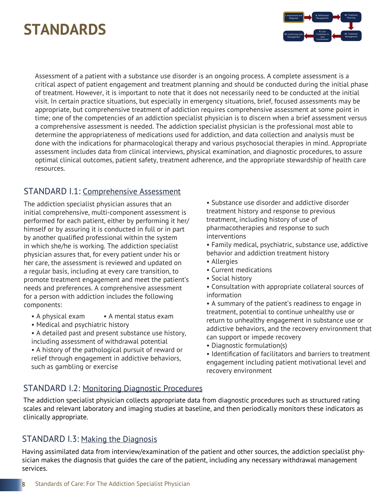# **STANDARDS**



Assessment of a patient with a substance use disorder is an ongoing process. A complete assessment is a critical aspect of patient engagement and treatment planning and should be conducted during the initial phase of treatment. However, it is important to note that it does not necessarily need to be conducted at the initial visit. In certain practice situations, but especially in emergency situations, brief, focused assessments may be appropriate, but comprehensive treatment of addiction requires comprehensive assessment at some point in time; one of the competencies of an addiction specialist physician is to discern when a brief assessment versus a comprehensive assessment is needed. The addiction specialist physician is the professional most able to determine the appropriateness of medications used for addiction, and data collection and analysis must be done with the indications for pharmacological therapy and various psychosocial therapies in mind. Appropriate assessment includes data from clinical interviews, physical examination, and diagnostic procedures, to assure optimal clinical outcomes, patient safety, treatment adherence, and the appropriate stewardship of health care resources.

### STANDARD I.1: Comprehensive Assessment

The addiction specialist physician assures that an initial comprehensive, multi-component assessment is performed for each patient, either by performing it her/ himself or by assuring it is conducted in full or in part by another qualified professional within the system in which she/he is working. The addiction specialist physician assures that, for every patient under his or her care, the assessment is reviewed and updated on a regular basis, including at every care transition, to promote treatment engagement and meet the patient's needs and preferences. A comprehensive assessment for a person with addiction includes the following components:

- A physical exam A mental status exam
- Medical and psychiatric history
- A detailed past and present substance use history, including assessment of withdrawal potential
- A history of the pathological pursuit of reward or relief through engagement in addictive behaviors, such as gambling or exercise

• Substance use disorder and addictive disorder treatment history and response to previous treatment, including history of use of pharmacotherapies and response to such interventions

 • Family medical, psychiatric, substance use, addictive behavior and addiction treatment history

- Allergies
- Current medications
- Social history
- Consultation with appropriate collateral sources of information
- A summary of the patient's readiness to engage in treatment, potential to continue unhealthy use or return to unhealthy engagement in substance use or addictive behaviors, and the recovery environment that can support or impede recovery
- Diagnostic formulation(s)

 • Identification of facilitators and barriers to treatment engagement including patient motivational level and recovery environment

### STANDARD I.2: Monitoring Diagnostic Procedures

The addiction specialist physician collects appropriate data from diagnostic procedures such as structured rating scales and relevant laboratory and imaging studies at baseline, and then periodically monitors these indicators as clinically appropriate.

### STANDARD I.3: Making the Diagnosis

Having assimilated data from interview/examination of the patient and other sources, the addiction specialist physician makes the diagnosis that guides the care of the patient, including any necessary withdrawal management services.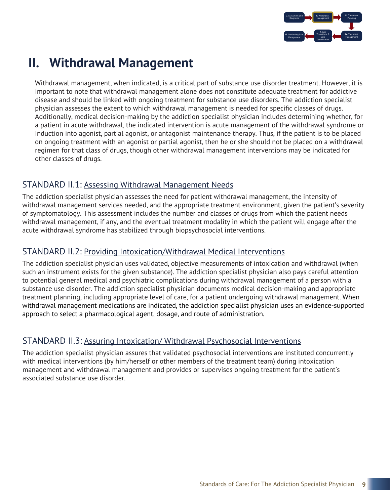

### **II. Withdrawal Management**

Withdrawal management, when indicated, is a critical part of substance use disorder treatment. However, it is important to note that withdrawal management alone does not constitute adequate treatment for addictive disease and should be linked with ongoing treatment for substance use disorders. The addiction specialist physician assesses the extent to which withdrawal management is needed for specific classes of drugs. Additionally, medical decision-making by the addiction specialist physician includes determining whether, for a patient in acute withdrawal, the indicated intervention is acute management of the withdrawal syndrome or induction into agonist, partial agonist, or antagonist maintenance therapy. Thus, if the patient is to be placed on ongoing treatment with an agonist or partial agonist, then he or she should not be placed on a withdrawal regimen for that class of drugs, though other withdrawal management interventions may be indicated for other classes of drugs.

### STANDARD II.1: Assessing Withdrawal Management Needs

The addiction specialist physician assesses the need for patient withdrawal management, the intensity of withdrawal management services needed, and the appropriate treatment environment, given the patient's severity of symptomatology. This assessment includes the number and classes of drugs from which the patient needs withdrawal management, if any, and the eventual treatment modality in which the patient will engage after the acute withdrawal syndrome has stabilized through biopsychosocial interventions.

#### STANDARD II.2: Providing Intoxication/Withdrawal Medical Interventions

The addiction specialist physician uses validated, objective measurements of intoxication and withdrawal (when such an instrument exists for the given substance). The addiction specialist physician also pays careful attention to potential general medical and psychiatric complications during withdrawal management of a person with a substance use disorder. The addiction specialist physician documents medical decision-making and appropriate treatment planning, including appropriate level of care, for a patient undergoing withdrawal management. When withdrawal management medications are indicated, the addiction specialist physician uses an evidence-supported approach to select a pharmacological agent, dosage, and route of administration.

### STANDARD II.3: Assuring Intoxication/ Withdrawal Psychosocial Interventions

The addiction specialist physician assures that validated psychosocial interventions are instituted concurrently with medical interventions (by him/herself or other members of the treatment team) during intoxication management and withdrawal management and provides or supervises ongoing treatment for the patient's associated substance use disorder.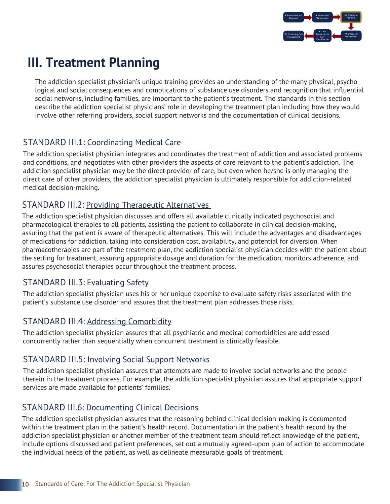

### **III. Treatment Planning**

The addiction specialist physician's unique training provides an understanding of the many physical, psychological and social consequences and complications of substance use disorders and recognition that influential social networks, including families, are important to the patient's treatment. The standards in this section describe the addiction specialist physicians' role in developing the treatment plan including how they would involve other referring providers, social support networks and the documentation of clinical decisions.

### STANDARD III.1: Coordinating Medical Care

The addiction specialist physician integrates and coordinates the treatment of addiction and associated problems and conditions, and negotiates with other providers the aspects of care relevant to the patient's addiction. The addiction specialist physician may be the direct provider of care, but even when he/she is only managing the direct care of other providers, the addiction specialist physician is ultimately responsible for addiction-related medical decision-making.

### STANDARD III.2: Providing Therapeutic Alternatives

The addiction specialist physician discusses and offers all available clinically indicated psychosocial and pharmacological therapies to all patients, assisting the patient to collaborate in clinical decision-making, assuring that the patient is aware of therapeutic alternatives. This will include the advantages and disadvantages of medications for addiction, taking into consideration cost, availability, and potential for diversion. When pharmacotherapies are part of the treatment plan, the addiction specialist physician decides with the patient about the setting for treatment, assuring appropriate dosage and duration for the medication, monitors adherence, and assures psychosocial therapies occur throughout the treatment process.

### STANDARD III.3: Evaluating Safety

The addiction specialist physician uses his or her unique expertise to evaluate safety risks associated with the patient's substance use disorder and assures that the treatment plan addresses those risks.

### STANDARD III.4: Addressing Comorbidity

The addiction specialist physician assures that all psychiatric and medical comorbidities are addressed concurrently rather than sequentially when concurrent treatment is clinically feasible.

### STANDARD III.5: Involving Social Support Networks

The addiction specialist physician assures that attempts are made to involve social networks and the people therein in the treatment process. For example, the addiction specialist physician assures that appropriate support services are made available for patients' families.

### STANDARD III.6: Documenting Clinical Decisions

The addiction specialist physician assures that the reasoning behind clinical decision-making is documented within the treatment plan in the patient's health record. Documentation in the patient's health record by the addiction specialist physician or another member of the treatment team should reflect knowledge of the patient, include options discussed and patient preferences, set out a mutually agreed-upon plan of action to accommodate the individual needs of the patient, as well as delineate measurable goals of treatment.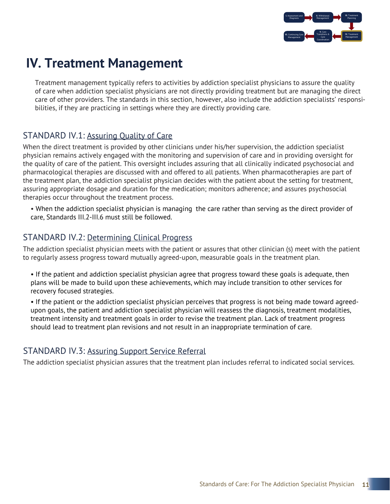

### **IV. Treatment Management**

Treatment management typically refers to activities by addiction specialist physicians to assure the quality of care when addiction specialist physicians are not directly providing treatment but are managing the direct care of other providers. The standards in this section, however, also include the addiction specialists' responsibilities, if they are practicing in settings where they are directly providing care.

### STANDARD IV.1: Assuring Quality of Care

When the direct treatment is provided by other clinicians under his/her supervision, the addiction specialist physician remains actively engaged with the monitoring and supervision of care and in providing oversight for the quality of care of the patient. This oversight includes assuring that all clinically indicated psychosocial and pharmacological therapies are discussed with and offered to all patients. When pharmacotherapies are part of the treatment plan, the addiction specialist physician decides with the patient about the setting for treatment, assuring appropriate dosage and duration for the medication; monitors adherence; and assures psychosocial therapies occur throughout the treatment process.

• When the addiction specialist physician is managing the care rather than serving as the direct provider of care, Standards III.2-III.6 must still be followed.

### STANDARD IV.2: Determining Clinical Progress

The addiction specialist physician meets with the patient or assures that other clinician (s) meet with the patient to regularly assess progress toward mutually agreed-upon, measurable goals in the treatment plan.

- If the patient and addiction specialist physician agree that progress toward these goals is adequate, then plans will be made to build upon these achievements, which may include transition to other services for recovery focused strategies.
- If the patient or the addiction specialist physician perceives that progress is not being made toward agreedupon goals, the patient and addiction specialist physician will reassess the diagnosis, treatment modalities, treatment intensity and treatment goals in order to revise the treatment plan. Lack of treatment progress should lead to treatment plan revisions and not result in an inappropriate termination of care.

### STANDARD IV.3: Assuring Support Service Referral

The addiction specialist physician assures that the treatment plan includes referral to indicated social services.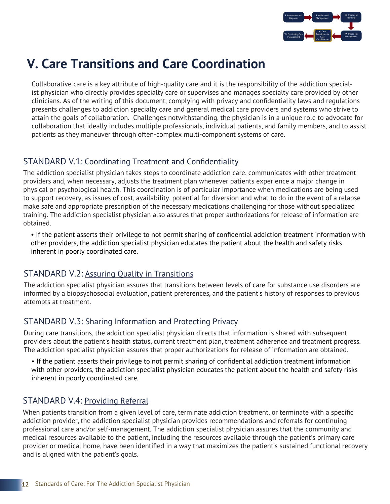

### **V. Care Transitions and Care Coordination**

Collaborative care is a key attribute of high-quality care and it is the responsibility of the addiction specialist physician who directly provides specialty care or supervises and manages specialty care provided by other clinicians. As of the writing of this document, complying with privacy and confidentiality laws and regulations presents challenges to addiction specialty care and general medical care providers and systems who strive to attain the goals of collaboration. Challenges notwithstanding, the physician is in a unique role to advocate for collaboration that ideally includes multiple professionals, individual patients, and family members, and to assist patients as they maneuver through often-complex multi-component systems of care.

### STANDARD V.1: Coordinating Treatment and Confidentiality

The addiction specialist physician takes steps to coordinate addiction care, communicates with other treatment providers and, when necessary, adjusts the treatment plan whenever patients experience a major change in physical or psychological health. This coordination is of particular importance when medications are being used to support recovery, as issues of cost, availability, potential for diversion and what to do in the event of a relapse make safe and appropriate prescription of the necessary medications challenging for those without specialized training. The addiction specialist physician also assures that proper authorizations for release of information are obtained.

• If the patient asserts their privilege to not permit sharing of confidential addiction treatment information with other providers, the addiction specialist physician educates the patient about the health and safety risks inherent in poorly coordinated care.

### STANDARD V.2: Assuring Quality in Transitions

The addiction specialist physician assures that transitions between levels of care for substance use disorders are informed by a biopsychosocial evaluation, patient preferences, and the patient's history of responses to previous attempts at treatment.

### STANDARD V.3: Sharing Information and Protecting Privacy

During care transitions, the addiction specialist physician directs that information is shared with subsequent providers about the patient's health status, current treatment plan, treatment adherence and treatment progress. The addiction specialist physician assures that proper authorizations for release of information are obtained.

• If the patient asserts their privilege to not permit sharing of confidential addiction treatment information with other providers, the addiction specialist physician educates the patient about the health and safety risks inherent in poorly coordinated care.

### STANDARD V.4: Providing Referral

When patients transition from a given level of care, terminate addiction treatment, or terminate with a specific addiction provider, the addiction specialist physician provides recommendations and referrals for continuing professional care and/or self-management. The addiction specialist physician assures that the community and medical resources available to the patient, including the resources available through the patient's primary care provider or medical home, have been identified in a way that maximizes the patient's sustained functional recovery and is aligned with the patient's goals.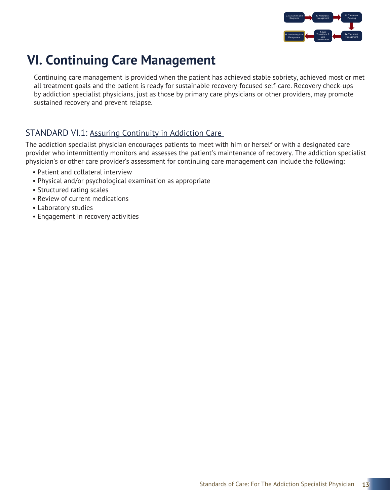

### **VI. Continuing Care Management**

Continuing care management is provided when the patient has achieved stable sobriety, achieved most or met all treatment goals and the patient is ready for sustainable recovery-focused self-care. Recovery check-ups by addiction specialist physicians, just as those by primary care physicians or other providers, may promote sustained recovery and prevent relapse.

### STANDARD VI.1: Assuring Continuity in Addiction Care

The addiction specialist physician encourages patients to meet with him or herself or with a designated care provider who intermittently monitors and assesses the patient's maintenance of recovery. The addiction specialist physician's or other care provider's assessment for continuing care management can include the following:

- Patient and collateral interview
- Physical and/or psychological examination as appropriate
- Structured rating scales
- Review of current medications
- Laboratory studies
- Engagement in recovery activities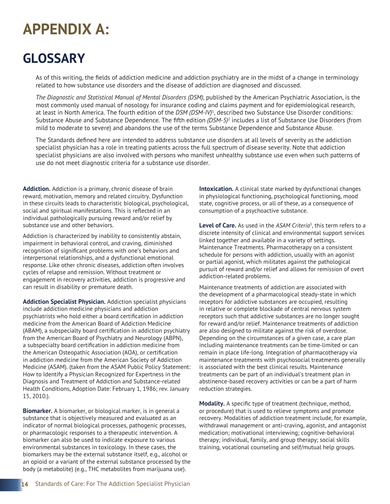# **APPENDIX A:**

### **GLOSSARY**

As of this writing, the fields of addiction medicine and addiction psychiatry are in the midst of a change in terminology related to how substance use disorders and the disease of addiction are diagnosed and discussed.

*The Diagnostic and Statistical Manual of Mental Disorders (DSM),* published by the American Psychiatric Association, is the most commonly used manual of nosology for insurance coding and claims payment and for epidemiological research, at least in North America. The fourth edition of the *DSM (DSM-IV)*<sup>1</sup> , described two Substance Use Disorder conditions: Substance Abuse and Substance Dependence. The fifth edition *(DSM-5)*<sup>2</sup> includes a list of Substance Use Disorders (from mild to moderate to severe) and abandons the use of the terms Substance Dependence and Substance Abuse.

The Standards defined here are intended to address substance use disorders at all levels of severity as the addiction specialist physician has a role in treating patients across the full spectrum of disease severity. Note that addiction specialist physicians are also involved with persons who manifest unhealthy substance use even when such patterns of use do not meet diagnostic criteria for a substance use disorder.

**Addiction.** Addiction is a primary, chronic disease of brain reward, motivation, memory and related circuitry. Dysfunction in these circuits leads to characteristic biological, psychological, social and spiritual manifestations. This is reflected in an individual pathologically pursuing reward and/or relief by substance use and other behaviors.

Addiction is characterized by inability to consistently abstain, impairment in behavioral control, and craving, diminished recognition of significant problems with one's behaviors and interpersonal relationships, and a dysfunctional emotional response. Like other chronic diseases, addiction often involves cycles of relapse and remission. Without treatment or engagement in recovery activities, addiction is progressive and can result in disability or premature death.

**Addiction Specialist Physician.** Addiction specialist physicians include addiction medicine physicians and addiction psychiatrists who hold either a board certification in addiction medicine from the American Board of Addiction Medicine (ABAM), a subspecialty board certification in addiction psychiatry from the American Board of Psychiatry and Neurology (ABPN), a subspecialty board certification in addiction medicine from the American Osteopathic Association (AOA), or certification in addiction medicine from the American Society of Addiction Medicine (ASAM). (taken from the ASAM Public Policy Statement: How to Identify a Physician Recognized for Expertness in the Diagnosis and Treatment of Addiction and Substance-related Health Conditions, Adoption Date: February 1, 1986; rev. January 15, 2010.).

**Biomarker.** A biomarker, or biological marker, is in general a substance that is objectively measured and evaluated as an indicator of normal biological processes, pathogenic processes, or pharmacologic responses to a therapeutic intervention. A biomarker can also be used to indicate exposure to various environmental substances in toxicology. In these cases, the biomarkers may be the external substance itself, e.g., alcohol or an opioid or a variant of the external substance processed by the body (a metabolite) (e.g., THC metabolites from marijuana use).

**Intoxication.** A clinical state marked by dysfunctional changes in physiological functioning, psychological functioning, mood state, cognitive process, or all of these, as a consequence of consumption of a psychoactive substance.

**Level of Care.** As used in the *ASAM Criteria*<sup>3</sup> , this term refers to a discrete intensity of clinical and environmental support services linked together and available in a variety of settings. Maintenance Treatments. Pharmacotherapy on a consistent schedule for persons with addiction, usually with an agonist or partial agonist, which militates against the pathological pursuit of reward and/or relief and allows for remission of overt addiction-related problems.

Maintenance treatments of addiction are associated with the development of a pharmacological steady-state in which receptors for addictive substances are occupied, resulting in relative or complete blockade of central nervous system receptors such that addictive substances are no longer sought for reward and/or relief. Maintenance treatments of addiction are also designed to militate against the risk of overdose. Depending on the circumstances of a given case, a care plan including maintenance treatments can be time-limited or can remain in place life-long. Integration of pharmacotherapy via maintenance treatments with psychosocial treatments generally is associated with the best clinical results. Maintenance treatments can be part of an individual's treatment plan in abstinence-based recovery activities or can be a part of harm reduction strategies.

**Modality.** A specific type of treatment (technique, method, or procedure) that is used to relieve symptoms and promote recovery. Modalities of addiction treatment include, for example, withdrawal management or anti-craving, agonist, and antagonist medication; motivational interviewing; cognitive-behavioral therapy; individual, family, and group therapy; social skills training, vocational counseling and self/mutual help groups.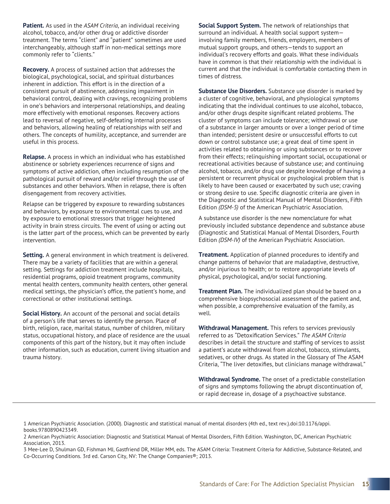**Patient.** As used in the *ASAM Criteria*, an individual receiving alcohol, tobacco, and/or other drug or addictive disorder treatment. The terms "client" and "patient" sometimes are used interchangeably, although staff in non-medical settings more commonly refer to "clients."

**Recovery.** A process of sustained action that addresses the biological, psychological, social, and spiritual disturbances inherent in addiction. This effort is in the direction of a consistent pursuit of abstinence, addressing impairment in behavioral control, dealing with cravings, recognizing problems in one's behaviors and interpersonal relationships, and dealing more effectively with emotional responses. Recovery actions lead to reversal of negative, self-defeating internal processes and behaviors, allowing healing of relationships with self and others. The concepts of humility, acceptance, and surrender are useful in this process.

**Relapse.** A process in which an individual who has established abstinence or sobriety experiences recurrence of signs and symptoms of active addiction, often including resumption of the pathological pursuit of reward and/or relief through the use of substances and other behaviors. When in relapse, there is often disengagement from recovery activities.

Relapse can be triggered by exposure to rewarding substances and behaviors, by exposure to environmental cues to use, and by exposure to emotional stressors that trigger heightened activity in brain stress circuits. The event of using or acting out is the latter part of the process, which can be prevented by early intervention.

**Setting.** A general environment in which treatment is delivered. There may be a variety of facilities that are within a general setting. Settings for addiction treatment include hospitals, residential programs, opioid treatment programs, community mental health centers, community health centers, other general medical settings, the physician's office, the patient's home, and correctional or other institutional settings.

**Social History.** An account of the personal and social details of a person's life that serves to identify the person. Place of birth, religion, race, marital status, number of children, military status, occupational history, and place of residence are the usual components of this part of the history, but it may often include other information, such as education, current living situation and trauma history.

**Social Support System.** The network of relationships that surround an individual. A health social support system involving family members, friends, employers, members of mutual support groups, and others—tends to support an individual's recovery efforts and goals. What these individuals have in common is that their relationship with the individual is current and that the individual is comfortable contacting them in times of distress.

**Substance Use Disorders.** Substance use disorder is marked by a cluster of cognitive, behavioral, and physiological symptoms indicating that the individual continues to use alcohol, tobacco, and/or other drugs despite significant related problems. The cluster of symptoms can include tolerance; withdrawal or use of a substance in larger amounts or over a longer period of time than intended; persistent desire or unsuccessful efforts to cut down or control substance use; a great deal of time spent in activities related to obtaining or using substances or to recover from their effects; relinquishing important social, occupational or recreational activities because of substance use; and continuing alcohol, tobacco, and/or drug use despite knowledge of having a persistent or recurrent physical or psychological problem that is likely to have been caused or exacerbated by such use; craving or strong desire to use. Specific diagnostic criteria are given in the Diagnostic and Statistical Manual of Mental Disorders, Fifth Edition *(DSM-5)* of the American Psychiatric Association.

A substance use disorder is the new nomenclature for what previously included substance dependence and substance abuse (Diagnostic and Statistical Manual of Mental Disorders, Fourth Edition *(DSM-IV)* of the American Psychiatric Association.

**Treatment.** Application of planned procedures to identify and change patterns of behavior that are maladaptive, destructive, and/or injurious to health; or to restore appropriate levels of physical, psychological, and/or social functioning.

**Treatment Plan.** The individualized plan should be based on a comprehensive biopsychosocial assessment of the patient and, when possible, a comprehensive evaluation of the family, as well.

**Withdrawal Management.** This refers to services previously referred to as "Detoxification Services." *The ASAM Criteria* describes in detail the structure and staffing of services to assist a patient's acute withdrawal from alcohol, tobacco, stimulants, sedatives, or other drugs. As stated in the Glossary of The ASAM Criteria, "The liver detoxifies, but clinicians manage withdrawal."

**Withdrawal Syndrome.** The onset of a predictable constellation of signs and symptoms following the abrupt discontinuation of, or rapid decrease in, dosage of a psychoactive substance.

<sup>1</sup> American Psychiatric Association. (2000). Diagnostic and statistical manual of mental disorders (4th ed., text rev.).doi:10.1176/appi. books.9780890423349.

<sup>2</sup> American Psychiatric Association: Diagnostic and Statistical Manual of Mental Disorders, Fifth Edition. Washington, DC, American Psychiatric Association, 2013.

<sup>3</sup> Mee-Lee D, Shulman GD, Fishman MJ, Gastfriend DR, Miller MM, eds. The ASAM Criteria: Treatment Criteria for Addictive, Substance-Related, and Co-Occurring Conditions. 3rd ed. Carson City, NV: The Change Companies®; 2013.